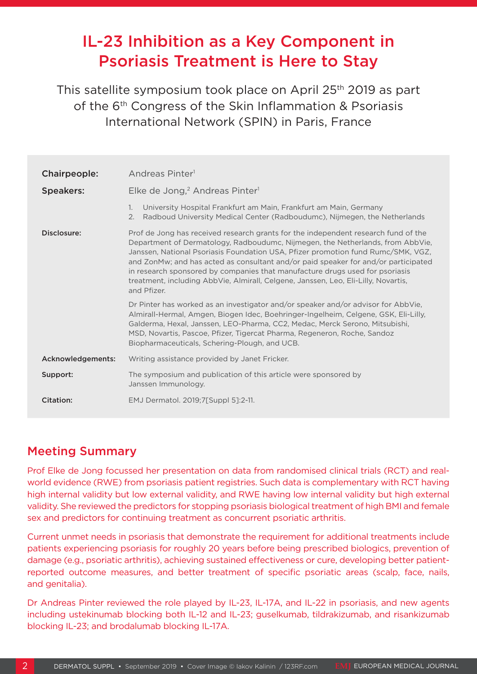# IL-23 Inhibition as a Key Component in Psoriasis Treatment is Here to Stay

This satellite symposium took place on April 25th 2019 as part of the 6<sup>th</sup> Congress of the Skin Inflammation & Psoriasis International Network (SPIN) in Paris, France

| Chairpeople:      | Andreas Pinter <sup>1</sup>                                                                                                                                                                                                                                                                                                                                                                                                                                                                                                         |
|-------------------|-------------------------------------------------------------------------------------------------------------------------------------------------------------------------------------------------------------------------------------------------------------------------------------------------------------------------------------------------------------------------------------------------------------------------------------------------------------------------------------------------------------------------------------|
| <b>Speakers:</b>  | Elke de Jong, <sup>2</sup> Andreas Pinter <sup>1</sup>                                                                                                                                                                                                                                                                                                                                                                                                                                                                              |
|                   | University Hospital Frankfurt am Main, Frankfurt am Main, Germany<br>1.<br>Radboud University Medical Center (Radboudumc), Nijmegen, the Netherlands<br>2.                                                                                                                                                                                                                                                                                                                                                                          |
| Disclosure:       | Prof de Jong has received research grants for the independent research fund of the<br>Department of Dermatology, Radboudumc, Nijmegen, the Netherlands, from AbbVie,<br>Janssen, National Psoriasis Foundation USA, Pfizer promotion fund Rumc/SMK, VGZ,<br>and ZonMw; and has acted as consultant and/or paid speaker for and/or participated<br>in research sponsored by companies that manufacture drugs used for psoriasis<br>treatment, including AbbVie, Almirall, Celgene, Janssen, Leo, Eli-Lilly, Novartis,<br>and Pfizer. |
|                   | Dr Pinter has worked as an investigator and/or speaker and/or advisor for AbbVie,<br>Almirall-Hermal, Amgen, Biogen Idec, Boehringer-Ingelheim, Celgene, GSK, Eli-Lilly,<br>Galderma, Hexal, Janssen, LEO-Pharma, CC2, Medac, Merck Serono, Mitsubishi,<br>MSD, Novartis, Pascoe, Pfizer, Tigercat Pharma, Regeneron, Roche, Sandoz<br>Biopharmaceuticals, Schering-Plough, and UCB.                                                                                                                                                |
| Acknowledgements: | Writing assistance provided by Janet Fricker.                                                                                                                                                                                                                                                                                                                                                                                                                                                                                       |
| Support:          | The symposium and publication of this article were sponsored by<br>Janssen Immunology.                                                                                                                                                                                                                                                                                                                                                                                                                                              |
| Citation:         | EMJ Dermatol. 2019;7[Suppl 5]:2-11.                                                                                                                                                                                                                                                                                                                                                                                                                                                                                                 |

# Meeting Summary

Prof Elke de Jong focussed her presentation on data from randomised clinical trials (RCT) and realworld evidence (RWE) from psoriasis patient registries. Such data is complementary with RCT having high internal validity but low external validity, and RWE having low internal validity but high external validity. She reviewed the predictors for stopping psoriasis biological treatment of high BMI and female sex and predictors for continuing treatment as concurrent psoriatic arthritis.

Current unmet needs in psoriasis that demonstrate the requirement for additional treatments include patients experiencing psoriasis for roughly 20 years before being prescribed biologics, prevention of damage (e.g., psoriatic arthritis), achieving sustained effectiveness or cure, developing better patientreported outcome measures, and better treatment of specific psoriatic areas (scalp, face, nails, and genitalia).

Dr Andreas Pinter reviewed the role played by IL-23, IL-17A, and IL-22 in psoriasis, and new agents including ustekinumab blocking both IL-12 and IL-23; guselkumab, tildrakizumab, and risankizumab blocking IL-23; and brodalumab blocking IL-17A.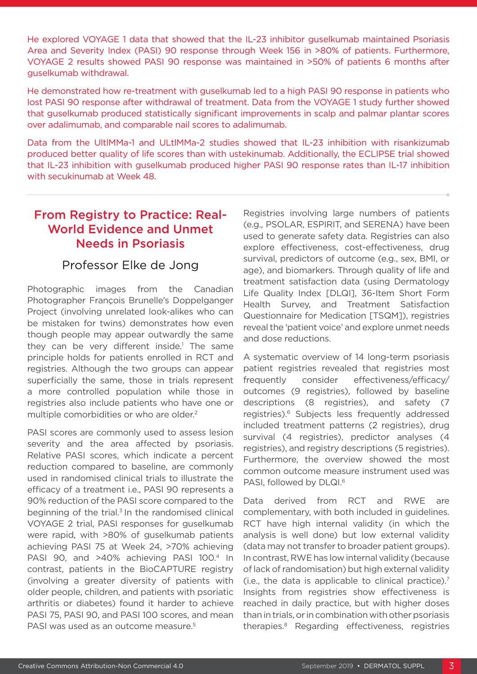He explored VOYAGE 1 data that showed that the IL-23 inhibitor guselkumab maintained Psoriasis Area and Severity Index (PASI) 90 response through Week 156 in >80% of patients. Furthermore, VOYAGE 2 results showed PASI 90 response was maintained in >50% of patients 6 months after guselkumab withdrawal.

He demonstrated how re-treatment with guselkumab led to a high PASI 90 response in patients who lost PASI 90 response after withdrawal of treatment. Data from the VOYAGE 1 study further showed that guselkumab produced statistically significant improvements in scalp and palmar plantar scores over adalimumab, and comparable nail scores to adalimumab.

Data from the UltlMMa-1 and ULtlMMa-2 studies showed that IL-23 inhibition with risankizumab produced better quality of life scores than with ustekinumab. Additionally, the ECLIPSE trial showed that IL-23 inhibition with guselkumab produced higher PASI 90 response rates than IL-17 inhibition with secukinumab at Week 48.

## From Registry to Practice: Real-World Evidence and Unmet Needs in Psoriasis

#### Professor Elke de Jong

Photographic images from the Canadian Photographer François Brunelle's Doppelganger Project (involving unrelated look-alikes who can be mistaken for twins) demonstrates how even though people may appear outwardly the same they can be very different inside.<sup>1</sup> The same principle holds for patients enrolled in RCT and registries. Although the two groups can appear superficially the same, those in trials represent a more controlled population while those in registries also include patients who have one or multiple comorbidities or who are older.<sup>2</sup>

PASI scores are commonly used to assess lesion severity and the area affected by psoriasis. Relative PASI scores, which indicate a percent reduction compared to baseline, are commonly used in randomised clinical trials to illustrate the efficacy of a treatment i.e., PASI 90 represents a 90% reduction of the PASI score compared to the beginning of the trial. $3$  In the randomised clinical VOYAGE 2 trial, PASI responses for guselkumab were rapid, with >80% of guselkumab patients achieving PASI 75 at Week 24, >70% achieving PASI 90, and >40% achieving PASI 100.4 In contrast, patients in the BioCAPTURE registry (involving a greater diversity of patients with older people, children, and patients with psoriatic arthritis or diabetes) found it harder to achieve PASI 75, PASI 90, and PASI 100 scores, and mean PASI was used as an outcome measure.<sup>5</sup>

Registries involving large numbers of patients (e.g., PSOLAR, ESPIRIT, and SERENA) have been used to generate safety data. Registries can also explore effectiveness, cost-effectiveness, drug survival, predictors of outcome (e.g., sex, BMI, or age), and biomarkers. Through quality of life and treatment satisfaction data (using Dermatology Life Quality Index [DLQI], 36-Item Short Form Health Survey, and Treatment Satisfaction Questionnaire for Medication [TSQM]), registries reveal the 'patient voice' and explore unmet needs and dose reductions.

A systematic overview of 14 long-term psoriasis patient registries revealed that registries most frequently consider effectiveness/efficacy/ outcomes (9 registries), followed by baseline descriptions (8 registries), and safety (7 registries).<sup>6</sup> Subjects less frequently addressed included treatment patterns (2 registries), drug survival (4 registries), predictor analyses (4 registries), and registry descriptions (5 registries). Furthermore, the overview showed the most common outcome measure instrument used was PASI, followed by DLQI.<sup>6</sup>

Data derived from RCT and RWE are complementary, with both included in guidelines. RCT have high internal validity (in which the analysis is well done) but low external validity (data may not transfer to broader patient groups). In contrast, RWE has low internal validity (because of lack of randomisation) but high external validity (i.e., the data is applicable to clinical practice). $<sup>7</sup>$ </sup> Insights from registries show effectiveness is reached in daily practice, but with higher doses than in trials, or in combination with other psoriasis therapies.8 Regarding effectiveness, registries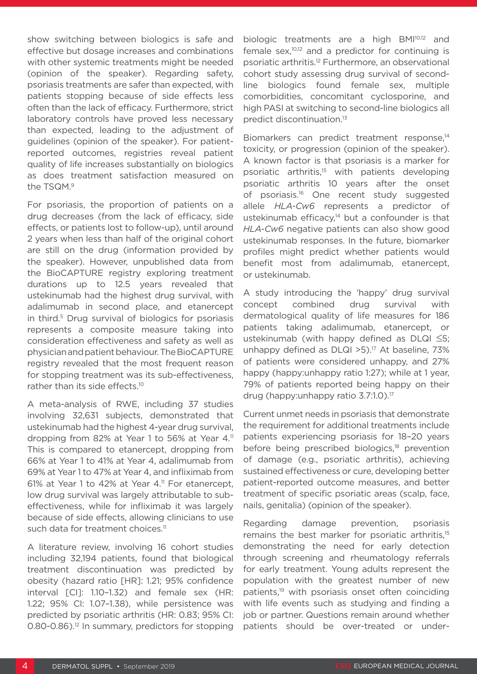show switching between biologics is safe and effective but dosage increases and combinations with other systemic treatments might be needed (opinion of the speaker). Regarding safety, psoriasis treatments are safer than expected, with patients stopping because of side effects less often than the lack of efficacy. Furthermore, strict laboratory controls have proved less necessary than expected, leading to the adjustment of guidelines (opinion of the speaker). For patientreported outcomes, registries reveal patient quality of life increases substantially on biologics as does treatment satisfaction measured on the TSQM.9

For psoriasis, the proportion of patients on a drug decreases (from the lack of efficacy, side effects, or patients lost to follow-up), until around 2 years when less than half of the original cohort are still on the drug (information provided by the speaker). However, unpublished data from the BioCAPTURE registry exploring treatment durations up to 12.5 years revealed that ustekinumab had the highest drug survival, with adalimumab in second place, and etanercept in third.<sup>5</sup> Drug survival of biologics for psoriasis represents a composite measure taking into consideration effectiveness and safety as well as physician and patient behaviour. The BioCAPTURE registry revealed that the most frequent reason for stopping treatment was its sub-effectiveness, rather than its side effects.10

A meta-analysis of RWE, including 37 studies involving 32,631 subjects, demonstrated that ustekinumab had the highest 4-year drug survival, dropping from 82% at Year 1 to 56% at Year 4.<sup>11</sup> This is compared to etanercept, dropping from 66% at Year 1 to 41% at Year 4, adalimumab from 69% at Year 1 to 47% at Year 4, and infliximab from 61% at Year 1 to 42% at Year 4.11 For etanercept, low drug survival was largely attributable to subeffectiveness, while for infliximab it was largely because of side effects, allowing clinicians to use such data for treatment choices.<sup>11</sup>

A literature review, involving 16 cohort studies including 32,194 patients, found that biological treatment discontinuation was predicted by obesity (hazard ratio [HR]: 1.21; 95% confidence interval [CI]: 1.10–1.32) and female sex (HR: 1.22; 95% CI: 1.07–1.38), while persistence was predicted by psoriatic arthritis (HR: 0.83; 95% CI: 0.80-0.86).<sup>12</sup> In summary, predictors for stopping

biologic treatments are a high BMI<sup>10,12</sup> and female sex, $10,12$  and a predictor for continuing is psoriatic arthritis.12 Furthermore, an observational cohort study assessing drug survival of secondline biologics found female sex, multiple comorbidities, concomitant cyclosporine, and high PASI at switching to second-line biologics all predict discontinuation.13

Biomarkers can predict treatment response,<sup>14</sup> toxicity, or progression (opinion of the speaker). A known factor is that psoriasis is a marker for psoriatic arthritis,15 with patients developing psoriatic arthritis 10 years after the onset of psoriasis.16 One recent study suggested allele *HLA-Cw6* represents a predictor of ustekinumab efficacy, $14$  but a confounder is that *HLA-Cw6* negative patients can also show good ustekinumab responses. In the future, biomarker profiles might predict whether patients would benefit most from adalimumab, etanercept, or ustekinumab.

A study introducing the 'happy' drug survival concept combined drug survival with dermatological quality of life measures for 186 patients taking adalimumab, etanercept, or ustekinumab (with happy defined as DLQI ≤5; unhappy defined as  $DLQI > 5$ ).<sup>17</sup> At baseline, 73% of patients were considered unhappy, and 27% happy (happy:unhappy ratio 1:27); while at 1 year, 79% of patients reported being happy on their drug (happy:unhappy ratio 3.7:1.0).17

Current unmet needs in psoriasis that demonstrate the requirement for additional treatments include patients experiencing psoriasis for 18–20 years before being prescribed biologics,<sup>18</sup> prevention of damage (e.g., psoriatic arthritis), achieving sustained effectiveness or cure, developing better patient-reported outcome measures, and better treatment of specific psoriatic areas (scalp, face, nails, genitalia) (opinion of the speaker).

Regarding damage prevention, psoriasis remains the best marker for psoriatic arthritis.<sup>15</sup> demonstrating the need for early detection through screening and rheumatology referrals for early treatment. Young adults represent the population with the greatest number of new patients,<sup>19</sup> with psoriasis onset often coinciding with life events such as studying and finding a job or partner. Questions remain around whether patients should be over-treated or under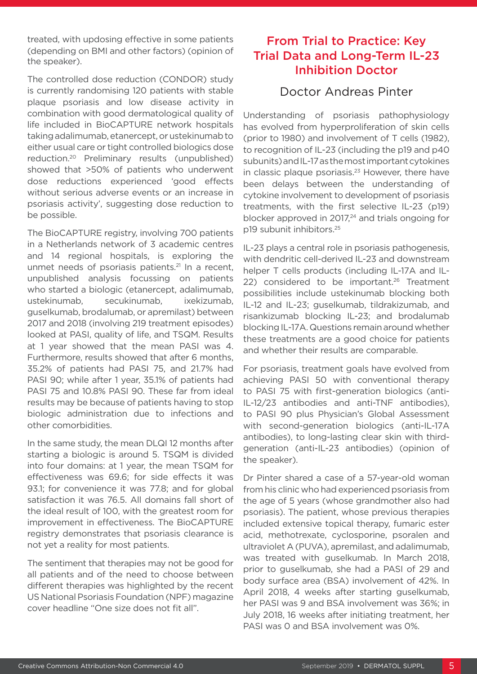treated, with updosing effective in some patients (depending on BMI and other factors) (opinion of the speaker).

The controlled dose reduction (CONDOR) study is currently randomising 120 patients with stable plaque psoriasis and low disease activity in combination with good dermatological quality of life included in BioCAPTURE network hospitals taking adalimumab, etanercept, or ustekinumab to either usual care or tight controlled biologics dose reduction.20 Preliminary results (unpublished) showed that >50% of patients who underwent dose reductions experienced 'good effects without serious adverse events or an increase in psoriasis activity', suggesting dose reduction to be possible.

The BioCAPTURE registry, involving 700 patients in a Netherlands network of 3 academic centres and 14 regional hospitals, is exploring the unmet needs of psoriasis patients.<sup>21</sup> In a recent, unpublished analysis focussing on patients who started a biologic (etanercept, adalimumab, ustekinumab, secukinumab, ixekizumab, guselkumab, brodalumab, or apremilast) between 2017 and 2018 (involving 219 treatment episodes) looked at PASI, quality of life, and TSQM. Results at 1 year showed that the mean PASI was 4. Furthermore, results showed that after 6 months, 35.2% of patients had PASI 75, and 21.7% had PASI 90; while after 1 year, 35.1% of patients had PASI 75 and 10.8% PASI 90. These far from ideal results may be because of patients having to stop biologic administration due to infections and other comorbidities.

In the same study, the mean DLQI 12 months after starting a biologic is around 5. TSQM is divided into four domains: at 1 year, the mean TSQM for effectiveness was 69.6; for side effects it was 93.1; for convenience it was 77.8; and for global satisfaction it was 76.5. All domains fall short of the ideal result of 100, with the greatest room for improvement in effectiveness. The BioCAPTURE registry demonstrates that psoriasis clearance is not yet a reality for most patients.

The sentiment that therapies may not be good for all patients and of the need to choose between different therapies was highlighted by the recent US National Psoriasis Foundation (NPF) magazine cover headline "One size does not fit all".

# From Trial to Practice: Key Trial Data and Long-Term IL-23 Inhibition Doctor

### Doctor Andreas Pinter

Understanding of psoriasis pathophysiology has evolved from hyperproliferation of skin cells (prior to 1980) and involvement of T cells (1982), to recognition of IL-23 (including the p19 and p40 subunits) and IL-17 as the most important cytokines in classic plaque psoriasis. $23$  However, there have been delays between the understanding of cytokine involvement to development of psoriasis treatments, with the first selective IL-23 (p19) blocker approved in  $2017<sub>,24</sub>$  and trials ongoing for p19 subunit inhibitors.25

IL-23 plays a central role in psoriasis pathogenesis, with dendritic cell-derived IL-23 and downstream helper T cells products (including IL-17A and IL-22) considered to be important.<sup>26</sup> Treatment possibilities include ustekinumab blocking both IL-12 and IL-23; guselkumab, tildrakizumab, and risankizumab blocking IL-23; and brodalumab blocking IL-17A. Questions remain around whether these treatments are a good choice for patients and whether their results are comparable.

For psoriasis, treatment goals have evolved from achieving PASI 50 with conventional therapy to PASI 75 with first-generation biologics (anti-IL-12/23 antibodies and anti-TNF antibodies), to PASI 90 plus Physician's Global Assessment with second-generation biologics (anti-IL-17A antibodies), to long-lasting clear skin with thirdgeneration (anti-IL-23 antibodies) (opinion of the speaker).

Dr Pinter shared a case of a 57-year-old woman from his clinic who had experienced psoriasis from the age of 5 years (whose grandmother also had psoriasis). The patient, whose previous therapies included extensive topical therapy, fumaric ester acid, methotrexate, cyclosporine, psoralen and ultraviolet A (PUVA), apremilast, and adalimumab, was treated with guselkumab. In March 2018, prior to guselkumab, she had a PASI of 29 and body surface area (BSA) involvement of 42%. In April 2018, 4 weeks after starting guselkumab, her PASI was 9 and BSA involvement was 36%; in July 2018, 16 weeks after initiating treatment, her PASI was 0 and BSA involvement was 0%.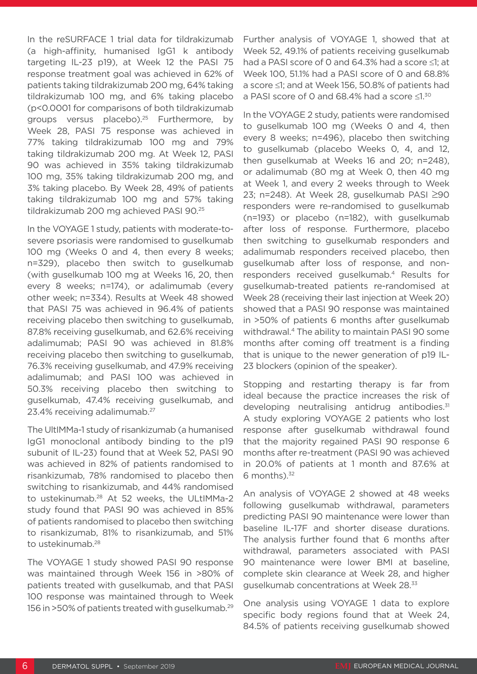In the reSURFACE 1 trial data for tildrakizumab (a high-affinity, humanised IgG1 k antibody targeting IL-23 p19), at Week 12 the PASI 75 response treatment goal was achieved in 62% of patients taking tildrakizumab 200 mg, 64% taking tildrakizumab 100 mg, and 6% taking placebo (p<0.0001 for comparisons of both tildrakizumab groups versus placebo).25 Furthermore, by Week 28, PASI 75 response was achieved in 77% taking tildrakizumab 100 mg and 79% taking tildrakizumab 200 mg. At Week 12, PASI 90 was achieved in 35% taking tildrakizumab 100 mg, 35% taking tildrakizumab 200 mg, and 3% taking placebo. By Week 28, 49% of patients taking tildrakizumab 100 mg and 57% taking tildrakizumab 200 mg achieved PASI 90.25

In the VOYAGE 1 study, patients with moderate-tosevere psoriasis were randomised to guselkumab 100 mg (Weeks 0 and 4, then every 8 weeks; n=329), placebo then switch to guselkumab (with guselkumab 100 mg at Weeks 16, 20, then every 8 weeks; n=174), or adalimumab (every other week; n=334). Results at Week 48 showed that PASI 75 was achieved in 96.4% of patients receiving placebo then switching to guselkumab, 87.8% receiving guselkumab, and 62.6% receiving adalimumab; PASI 90 was achieved in 81.8% receiving placebo then switching to guselkumab, 76.3% receiving guselkumab, and 47.9% receiving adalimumab; and PASI 100 was achieved in 50.3% receiving placebo then switching to guselkumab, 47.4% receiving guselkumab, and 23.4% receiving adalimumab.27

The UltIMMa-1 study of risankizumab (a humanised IgG1 monoclonal antibody binding to the p19 subunit of IL-23) found that at Week 52, PASI 90 was achieved in 82% of patients randomised to risankizumab, 78% randomised to placebo then switching to risankizumab, and 44% randomised to ustekinumab.28 At 52 weeks, the ULtIMMa-2 study found that PASI 90 was achieved in 85% of patients randomised to placebo then switching to risankizumab, 81% to risankizumab, and 51% to ustekinumab.<sup>28</sup>

The VOYAGE 1 study showed PASI 90 response was maintained through Week 156 in >80% of patients treated with guselkumab, and that PASI 100 response was maintained through to Week 156 in >50% of patients treated with guselkumab.29 Further analysis of VOYAGE 1, showed that at Week 52, 49.1% of patients receiving guselkumab had a PASI score of 0 and 64.3% had a score ≤1; at Week 100, 51.1% had a PASI score of 0 and 68.8% a score ≤1; and at Week 156, 50.8% of patients had a PASI score of 0 and 68.4% had a score ≤1.30

In the VOYAGE 2 study, patients were randomised to guselkumab 100 mg (Weeks 0 and 4, then every 8 weeks; n=496), placebo then switching to guselkumab (placebo Weeks 0, 4, and 12, then guselkumab at Weeks 16 and 20; n=248), or adalimumab (80 mg at Week 0, then 40 mg at Week 1, and every 2 weeks through to Week 23; n=248). At Week 28, guselkumab PASI ≥90 responders were re-randomised to guselkumab (n=193) or placebo (n=182), with guselkumab after loss of response. Furthermore, placebo then switching to guselkumab responders and adalimumab responders received placebo, then guselkumab after loss of response, and nonresponders received guselkumab.4 Results for guselkumab-treated patients re-randomised at Week 28 (receiving their last injection at Week 20) showed that a PASI 90 response was maintained in >50% of patients 6 months after guselkumab withdrawal.4 The ability to maintain PASI 90 some months after coming off treatment is a finding that is unique to the newer generation of p19 IL-23 blockers (opinion of the speaker).

Stopping and restarting therapy is far from ideal because the practice increases the risk of developing neutralising antidrug antibodies.<sup>31</sup> A study exploring VOYAGE 2 patients who lost response after guselkumab withdrawal found that the majority regained PASI 90 response 6 months after re-treatment (PASI 90 was achieved in 20.0% of patients at 1 month and 87.6% at 6 months). $32$ 

An analysis of VOYAGE 2 showed at 48 weeks following guselkumab withdrawal, parameters predicting PASI 90 maintenance were lower than baseline IL-17F and shorter disease durations. The analysis further found that 6 months after withdrawal, parameters associated with PASI 90 maintenance were lower BMI at baseline, complete skin clearance at Week 28, and higher guselkumab concentrations at Week 28.33

One analysis using VOYAGE 1 data to explore specific body regions found that at Week 24, 84.5% of patients receiving guselkumab showed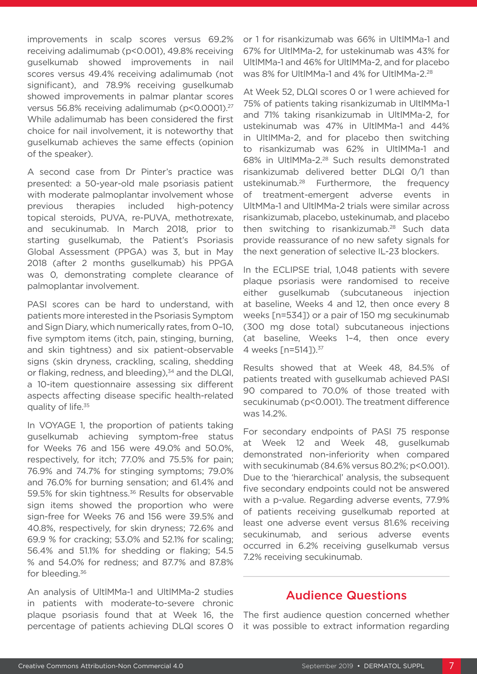improvements in scalp scores versus 69.2% receiving adalimumab (p<0.001), 49.8% receiving guselkumab showed improvements in nail scores versus 49.4% receiving adalimumab (not significant), and 78.9% receiving guselkumab showed improvements in palmar plantar scores versus 56.8% receiving adalimumab (p<0.0001).27 While adalimumab has been considered the first choice for nail involvement, it is noteworthy that guselkumab achieves the same effects (opinion of the speaker).

A second case from Dr Pinter's practice was presented: a 50-year-old male psoriasis patient with moderate palmoplantar involvement whose previous therapies included high-potency topical steroids, PUVA, re-PUVA, methotrexate, and secukinumab. In March 2018, prior to starting guselkumab, the Patient's Psoriasis Global Assessment (PPGA) was 3, but in May 2018 (after 2 months guselkumab) his PPGA was 0, demonstrating complete clearance of palmoplantar involvement.

PASI scores can be hard to understand, with patients more interested in the Psoriasis Symptom and Sign Diary, which numerically rates, from 0–10, five symptom items (itch, pain, stinging, burning, and skin tightness) and six patient-observable signs (skin dryness, crackling, scaling, shedding or flaking, redness, and bleeding),<sup>34</sup> and the DLQI, a 10-item questionnaire assessing six different aspects affecting disease specific health-related quality of life.<sup>35</sup>

In VOYAGE 1, the proportion of patients taking guselkumab achieving symptom-free status for Weeks 76 and 156 were 49.0% and 50.0%, respectively, for itch; 77.0% and 75.5% for pain; 76.9% and 74.7% for stinging symptoms; 79.0% and 76.0% for burning sensation; and 61.4% and 59.5% for skin tightness.<sup>36</sup> Results for observable sign items showed the proportion who were sign-free for Weeks 76 and 156 were 39.5% and 40.8%, respectively, for skin dryness; 72.6% and 69.9 % for cracking; 53.0% and 52.1% for scaling; 56.4% and 51.1% for shedding or flaking; 54.5 % and 54.0% for redness; and 87.7% and 87.8% for bleeding.36

An analysis of UltlMMa-1 and UltlMMa-2 studies in patients with moderate-to-severe chronic plaque psoriasis found that at Week 16, the percentage of patients achieving DLQI scores 0

or 1 for risankizumab was 66% in UltlMMa-1 and 67% for UltlMMa-2, for ustekinumab was 43% for UltlMMa-1 and 46% for UltlMMa-2, and for placebo was 8% for UltlMMa-1 and 4% for UltlMMa-2.28

At Week 52, DLQI scores 0 or 1 were achieved for 75% of patients taking risankizumab in UltlMMa-1 and 71% taking risankizumab in UltlMMa-2, for ustekinumab was 47% in UltlMMa-1 and 44% in UltlMMa-2, and for placebo then switching to risankizumab was 62% in UltlMMa-1 and 68% in UltlMMa-2.28 Such results demonstrated risankizumab delivered better DLQI 0/1 than ustekinumab.28 Furthermore, the frequency of treatment-emergent adverse events in UltMMa-1 and UltlMMa-2 trials were similar across risankizumab, placebo, ustekinumab, and placebo then switching to risankizumab.<sup>28</sup> Such data provide reassurance of no new safety signals for the next generation of selective IL-23 blockers.

In the ECLIPSE trial, 1,048 patients with severe plaque psoriasis were randomised to receive either guselkumab (subcutaneous injection at baseline, Weeks 4 and 12, then once every 8 weeks [n=534]) or a pair of 150 mg secukinumab (300 mg dose total) subcutaneous injections (at baseline, Weeks 1–4, then once every 4 weeks [n=514]).<sup>37</sup>

Results showed that at Week 48, 84.5% of patients treated with guselkumab achieved PASI 90 compared to 70.0% of those treated with secukinumab (p<0.001). The treatment difference was 14.2%.

For secondary endpoints of PASI 75 response at Week 12 and Week 48, guselkumab demonstrated non-inferiority when compared with secukinumab (84.6% versus 80.2%; p<0.001). Due to the 'hierarchical' analysis, the subsequent five secondary endpoints could not be answered with a p-value. Regarding adverse events, 77.9% of patients receiving guselkumab reported at least one adverse event versus 81.6% receiving secukinumab, and serious adverse events occurred in 6.2% receiving guselkumab versus 7.2% receiving secukinumab.

#### Audience Questions

The first audience question concerned whether it was possible to extract information regarding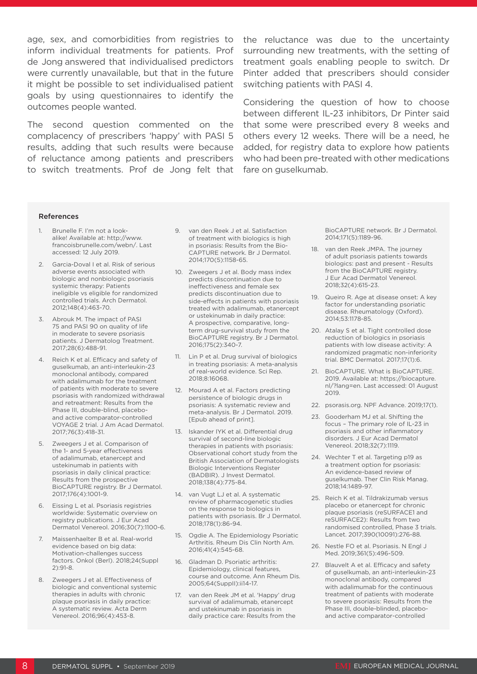age, sex, and comorbidities from registries to the reluctance was due to the uncertainty de Jong answered that individualised predictors were currently unavailable, but that in the future it might be possible to set individualised patient goals by using questionnaires to identify the outcomes people wanted.

The second question commented on the complacency of prescribers 'happy' with PASI 5 results, adding that such results were because of reluctance among patients and prescribers to switch treatments. Prof de Jong felt that fare on guselkumab.

inform individual treatments for patients. Prof surrounding new treatments, with the setting of treatment goals enabling people to switch. Dr Pinter added that prescribers should consider switching patients with PASI 4.

> Considering the question of how to choose between different IL-23 inhibitors, Dr Pinter said that some were prescribed every 8 weeks and others every 12 weeks. There will be a need, he added, for registry data to explore how patients who had been pre-treated with other medications

#### References

- 1. Brunelle F. I'm not a lookalike! Available at: http://www. francoisbrunelle.com/webn/. Last accessed: 12 July 2019.
- 2. Garcia-Doval I et al. Risk of serious adverse events associated with biologic and nonbiologic psoriasis systemic therapy: Patients ineligible vs eligible for randomized controlled trials. Arch Dermatol. 2012;148(4):463-70.
- 3. Abrouk M. The impact of PASI 75 and PASI 90 on quality of life in moderate to severe psoriasis patients. J Dermatolog Treatment. 2017;28(6):488-91.
- 4. Reich K et al. Efficacy and safety of guselkumab, an anti-interleukin-23 monoclonal antibody, compared with adalimumab for the treatment of patients with moderate to severe psoriasis with randomized withdrawal and retreatment: Results from the Phase III, double-blind, placeboand active comparator-controlled VOYAGE 2 trial. J Am Acad Dermatol. 2017;76(3):418-31.
- 5. Zweegers J et al. Comparison of the 1- and 5-year effectiveness of adalimumab, etanercept and ustekinumab in patients with psoriasis in daily clinical practice: Results from the prospective BioCAPTURE registry. Br J Dermatol. 2017;176(4):1001-9.
- 6. Eissing L et al. Psoriasis registries worldwide: Systematic overview on registry publications. J Eur Acad Dermatol Venereol. 2016;30(7):1100-6.
- 7. Maissenhaelter B et al. Real-world evidence based on big data: Motivation-challenges success factors. Onkol (Berl). 2018;24(Suppl 2):91-8.
- 8. Zweegers J et al. Effectiveness of biologic and conventional systemic therapies in adults with chronic plaque psoriasis in daily practice: A systematic review. Acta Derm Venereol. 2016;96(4):453-8.
- 9. van den Reek J et al. Satisfaction of treatment with biologics is high in psoriasis: Results from the Bio-CAPTURE network. Br J Dermatol. 2014;170(5):1158-65.
- 10. Zweegers J et al. Body mass index predicts discontinuation due to ineffectiveness and female sex predicts discontinuation due to side-effects in patients with psoriasis treated with adalimumab, etanercept or ustekinumab in daily practice: A prospective, comparative, longterm drug-survival study from the BioCAPTURE registry. Br J Dermatol. 2016;175(2):340-7.
- 11. Lin P et al. Drug survival of biologics in treating psoriasis: A meta-analysis of real-world evidence. Sci Rep. 2018;8:16068.
- 12. Mourad A et al. Factors predicting persistence of biologic drugs in psoriasis: A systematic review and meta-analysis. Br J Dermatol. 2019. [Epub ahead of print].
- 13. Iskander IYK et al. Differential drug survival of second-line biologic therapies in patients with psoriasis: Observational cohort study from the British Association of Dermatologists Biologic Interventions Register (BADBIR). J Invest Dermatol. 2018;138(4):775-84.
- 14. van Vugt LJ et al. A systematic review of pharmacogenetic studies on the response to biologics in patients with psoriasis. Br J Dermatol. 2018;178(1):86-94.
- 15. Ogdie A. The Epidemiology Psoriatic Arthritis. Rheum Dis Clin North Am. 2016;41(4):545-68.
- 16. Gladman D. Psoriatic arthritis: Epidemiology, clinical features, course and outcome. Ann Rheum Dis. 2005;64(SuppII):ii14-17.
- 17. van den Reek JM et al. 'Happy' drug survival of adalimumab, etanercept and ustekinumab in psoriasis in daily practice care: Results from the

BioCAPTURE network. Br J Dermatol. 2014;171(5):1189-96.

- 18. van den Reek JMPA. The journey of adult psoriasis patients towards biologics: past and present - Results from the BioCAPTURE registry. J Eur Acad Dermatol Venereol. 2018;32(4):615-23.
- 19. Queiro R. Age at disease onset: A key factor for understanding psoriatic disease. Rheumatology (Oxford). 2014;53:1178-85.
- 20. Atalay S et al. Tight controlled dose reduction of biologics in psoriasis patients with low disease activity: A randomized pragmatic non-inferiority trial. BMC Dermatol. 2017;17(1):6.
- 21. BioCAPTURE. What is BioCAPTURE. 2019. Available at: https://biocapture. nl/?lang=en. Last accessed: 01 August 2019.
- 22. psorasis.org. NPF Advance. 2019;17(1).
- 23. Gooderham MJ et al. Shifting the focus – The primary role of IL-23 in psoriasis and other inflammatory disorders. J Eur Acad Dermatol Venereol. 2018;32(7):1119.
- 24. Wechter T et al. Targeting p19 as a treatment option for psoriasis: An evidence-based review of guselkumab. Ther Clin Risk Manag. 2018;14:1489-97.
- 25. Reich K et al. Tildrakizumab versus placebo or etanercept for chronic plaque psoriasis (reSURFACE1 and reSURFACE2): Results from two randomised controlled, Phase 3 trials. Lancet. 2017;390(10091):276-88.
- 26. Nestle FO et al. Psoriasis. N Engl J Med. 2019;361(5):496-509.
- 27. Blauvelt A et al. Efficacy and safety of guselkumab, an anti-interleukin-23 monoclonal antibody, compared with adalimumab for the continuous treatment of patients with moderate to severe psoriasis: Results from the Phase III, double-blinded, placeboand active comparator-controlled